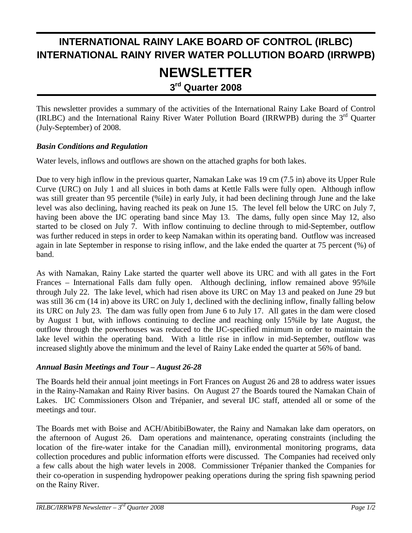# **INTERNATIONAL RAINY LAKE BOARD OF CONTROL (IRLBC) INTERNATIONAL RAINY RIVER WATER POLLUTION BOARD (IRRWPB) NEWSLETTER**

**3rd Quarter 2008**

This newsletter provides a summary of the activities of the International Rainy Lake Board of Control (IRLBC) and the International Rainy River Water Pollution Board (IRRWPB) during the 3rd Quarter (July-September) of 2008.

### *Basin Conditions and Regulation*

Water levels, inflows and outflows are shown on the attached graphs for both lakes.

Due to very high inflow in the previous quarter, Namakan Lake was 19 cm (7.5 in) above its Upper Rule Curve (URC) on July 1 and all sluices in both dams at Kettle Falls were fully open. Although inflow was still greater than 95 percentile (%ile) in early July, it had been declining through June and the lake level was also declining, having reached its peak on June 15. The level fell below the URC on July 7, having been above the IJC operating band since May 13. The dams, fully open since May 12, also started to be closed on July 7. With inflow continuing to decline through to mid-September, outflow was further reduced in steps in order to keep Namakan within its operating band. Outflow was increased again in late September in response to rising inflow, and the lake ended the quarter at 75 percent (%) of band.

As with Namakan, Rainy Lake started the quarter well above its URC and with all gates in the Fort Frances – International Falls dam fully open. Although declining, inflow remained above 95%ile through July 22. The lake level, which had risen above its URC on May 13 and peaked on June 29 but was still 36 cm (14 in) above its URC on July 1, declined with the declining inflow, finally falling below its URC on July 23. The dam was fully open from June 6 to July 17. All gates in the dam were closed by August 1 but, with inflows continuing to decline and reaching only 15%ile by late August, the outflow through the powerhouses was reduced to the IJC-specified minimum in order to maintain the lake level within the operating band. With a little rise in inflow in mid-September, outflow was increased slightly above the minimum and the level of Rainy Lake ended the quarter at 56% of band.

#### *Annual Basin Meetings and Tour – August 26-28*

The Boards held their annual joint meetings in Fort Frances on August 26 and 28 to address water issues in the Rainy-Namakan and Rainy River basins. On August 27 the Boards toured the Namakan Chain of Lakes. IJC Commissioners Olson and Trépanier, and several IJC staff, attended all or some of the meetings and tour.

The Boards met with Boise and ACH/AbitibiBowater, the Rainy and Namakan lake dam operators, on the afternoon of August 26. Dam operations and maintenance, operating constraints (including the location of the fire-water intake for the Canadian mill), environmental monitoring programs, data collection procedures and public information efforts were discussed. The Companies had received only a few calls about the high water levels in 2008. Commissioner Trépanier thanked the Companies for their co-operation in suspending hydropower peaking operations during the spring fish spawning period on the Rainy River.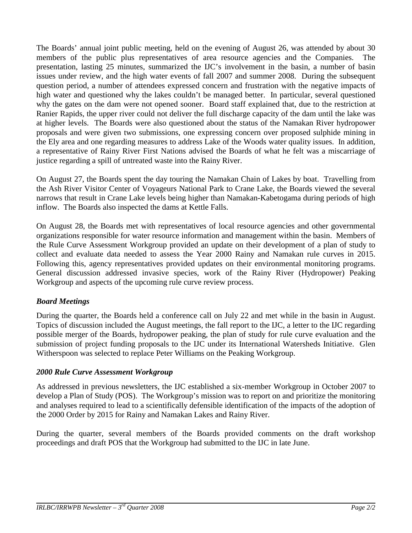The Boards' annual joint public meeting, held on the evening of August 26, was attended by about 30 members of the public plus representatives of area resource agencies and the Companies. The presentation, lasting 25 minutes, summarized the IJC's involvement in the basin, a number of basin issues under review, and the high water events of fall 2007 and summer 2008. During the subsequent question period, a number of attendees expressed concern and frustration with the negative impacts of high water and questioned why the lakes couldn't be managed better. In particular, several questioned why the gates on the dam were not opened sooner. Board staff explained that, due to the restriction at Ranier Rapids, the upper river could not deliver the full discharge capacity of the dam until the lake was at higher levels. The Boards were also questioned about the status of the Namakan River hydropower proposals and were given two submissions, one expressing concern over proposed sulphide mining in the Ely area and one regarding measures to address Lake of the Woods water quality issues. In addition, a representative of Rainy River First Nations advised the Boards of what he felt was a miscarriage of justice regarding a spill of untreated waste into the Rainy River.

On August 27, the Boards spent the day touring the Namakan Chain of Lakes by boat. Travelling from the Ash River Visitor Center of Voyageurs National Park to Crane Lake, the Boards viewed the several narrows that result in Crane Lake levels being higher than Namakan-Kabetogama during periods of high inflow. The Boards also inspected the dams at Kettle Falls.

On August 28, the Boards met with representatives of local resource agencies and other governmental organizations responsible for water resource information and management within the basin. Members of the Rule Curve Assessment Workgroup provided an update on their development of a plan of study to collect and evaluate data needed to assess the Year 2000 Rainy and Namakan rule curves in 2015. Following this, agency representatives provided updates on their environmental monitoring programs. General discussion addressed invasive species, work of the Rainy River (Hydropower) Peaking Workgroup and aspects of the upcoming rule curve review process.

## *Board Meetings*

During the quarter, the Boards held a conference call on July 22 and met while in the basin in August. Topics of discussion included the August meetings, the fall report to the IJC, a letter to the IJC regarding possible merger of the Boards, hydropower peaking, the plan of study for rule curve evaluation and the submission of project funding proposals to the IJC under its International Watersheds Initiative. Glen Witherspoon was selected to replace Peter Williams on the Peaking Workgroup.

#### *2000 Rule Curve Assessment Workgroup*

As addressed in previous newsletters, the IJC established a six-member Workgroup in October 2007 to develop a Plan of Study (POS). The Workgroup's mission was to report on and prioritize the monitoring and analyses required to lead to a scientifically defensible identification of the impacts of the adoption of the 2000 Order by 2015 for Rainy and Namakan Lakes and Rainy River.

During the quarter, several members of the Boards provided comments on the draft workshop proceedings and draft POS that the Workgroup had submitted to the IJC in late June.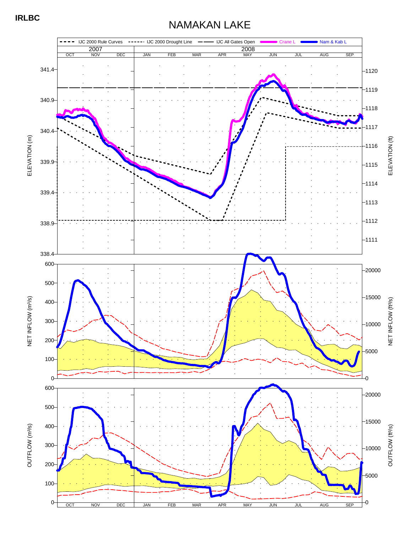# NAMAKAN LAKE